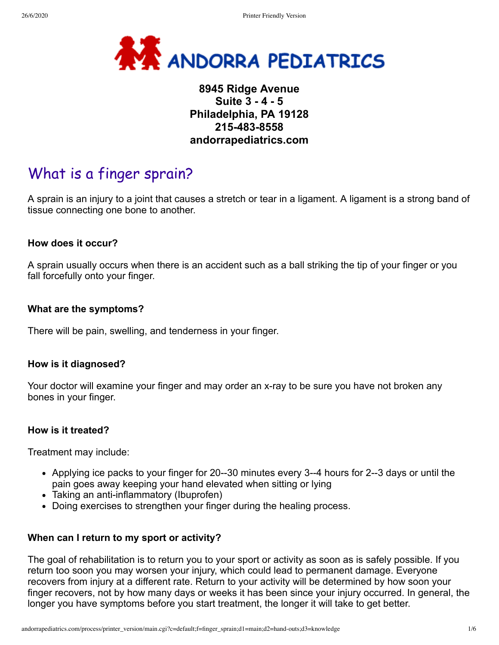

## **8945 Ridge Avenue Suite 3 - 4 - 5 Philadelphia, PA 19128 215-483-8558 andorrapediatrics.com**

# What is a finger sprain?

A sprain is an injury to a joint that causes a stretch or tear in a ligament. A ligament is a strong band of tissue connecting one bone to another.

## **How does it occur?**

A sprain usually occurs when there is an accident such as a ball striking the tip of your finger or you fall forcefully onto your finger.

## **What are the symptoms?**

There will be pain, swelling, and tenderness in your finger.

#### **How is it diagnosed?**

Your doctor will examine your finger and may order an x-ray to be sure you have not broken any bones in your finger.

#### **How is it treated?**

Treatment may include:

- Applying ice packs to your finger for 20--30 minutes every 3--4 hours for 2--3 days or until the pain goes away keeping your hand elevated when sitting or lying
- Taking an anti-inflammatory (Ibuprofen)
- Doing exercises to strengthen your finger during the healing process.

## **When can I return to my sport or activity?**

The goal of rehabilitation is to return you to your sport or activity as soon as is safely possible. If you return too soon you may worsen your injury, which could lead to permanent damage. Everyone recovers from injury at a different rate. Return to your activity will be determined by how soon your finger recovers, not by how many days or weeks it has been since your injury occurred. In general, the longer you have symptoms before you start treatment, the longer it will take to get better.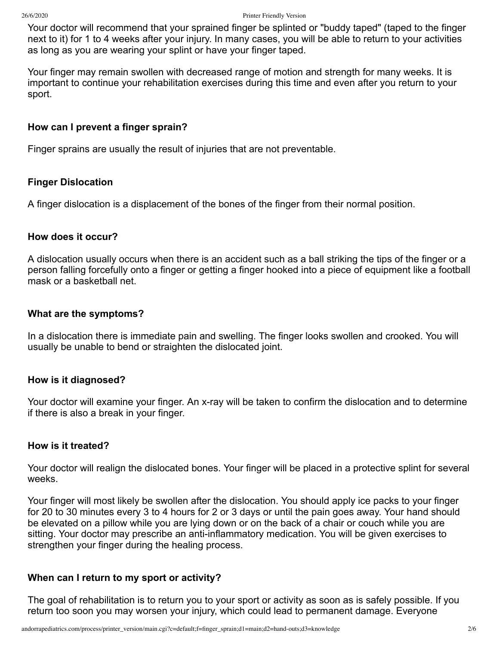Your doctor will recommend that your sprained finger be splinted or "buddy taped" (taped to the finger next to it) for 1 to 4 weeks after your injury. In many cases, you will be able to return to your activities as long as you are wearing your splint or have your finger taped.

Your finger may remain swollen with decreased range of motion and strength for many weeks. It is important to continue your rehabilitation exercises during this time and even after you return to your sport.

### **How can I prevent a finger sprain?**

Finger sprains are usually the result of injuries that are not preventable.

## **Finger Dislocation**

A finger dislocation is a displacement of the bones of the finger from their normal position.

## **How does it occur?**

A dislocation usually occurs when there is an accident such as a ball striking the tips of the finger or a person falling forcefully onto a finger or getting a finger hooked into a piece of equipment like a football mask or a basketball net.

#### **What are the symptoms?**

In a dislocation there is immediate pain and swelling. The finger looks swollen and crooked. You will usually be unable to bend or straighten the dislocated joint.

#### **How is it diagnosed?**

Your doctor will examine your finger. An x-ray will be taken to confirm the dislocation and to determine if there is also a break in your finger.

#### **How is it treated?**

Your doctor will realign the dislocated bones. Your finger will be placed in a protective splint for several weeks.

Your finger will most likely be swollen after the dislocation. You should apply ice packs to your finger for 20 to 30 minutes every 3 to 4 hours for 2 or 3 days or until the pain goes away. Your hand should be elevated on a pillow while you are lying down or on the back of a chair or couch while you are sitting. Your doctor may prescribe an anti-inflammatory medication. You will be given exercises to strengthen your finger during the healing process.

#### **When can I return to my sport or activity?**

The goal of rehabilitation is to return you to your sport or activity as soon as is safely possible. If you return too soon you may worsen your injury, which could lead to permanent damage. Everyone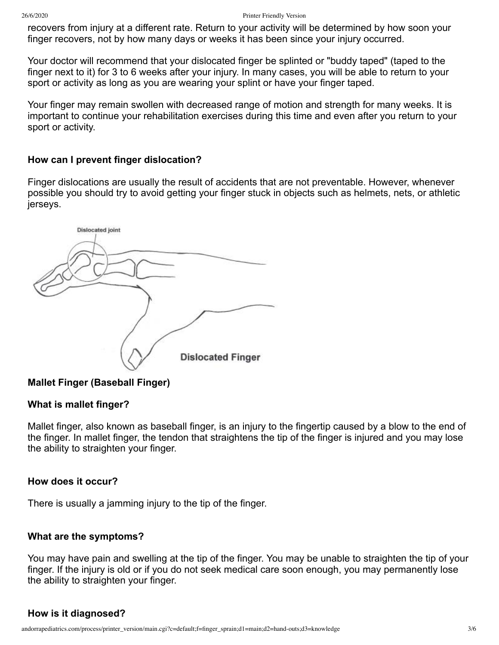recovers from injury at a different rate. Return to your activity will be determined by how soon your finger recovers, not by how many days or weeks it has been since your injury occurred.

Your doctor will recommend that your dislocated finger be splinted or "buddy taped" (taped to the finger next to it) for 3 to 6 weeks after your injury. In many cases, you will be able to return to your sport or activity as long as you are wearing your splint or have your finger taped.

Your finger may remain swollen with decreased range of motion and strength for many weeks. It is important to continue your rehabilitation exercises during this time and even after you return to your sport or activity.

## **How can I prevent finger dislocation?**

Finger dislocations are usually the result of accidents that are not preventable. However, whenever possible you should try to avoid getting your finger stuck in objects such as helmets, nets, or athletic jerseys.



**Mallet Finger (Baseball Finger)**

## **What is mallet finger?**

Mallet finger, also known as baseball finger, is an injury to the fingertip caused by a blow to the end of the finger. In mallet finger, the tendon that straightens the tip of the finger is injured and you may lose the ability to straighten your finger.

#### **How does it occur?**

There is usually a jamming injury to the tip of the finger.

## **What are the symptoms?**

You may have pain and swelling at the tip of the finger. You may be unable to straighten the tip of your finger. If the injury is old or if you do not seek medical care soon enough, you may permanently lose the ability to straighten your finger.

## **How is it diagnosed?**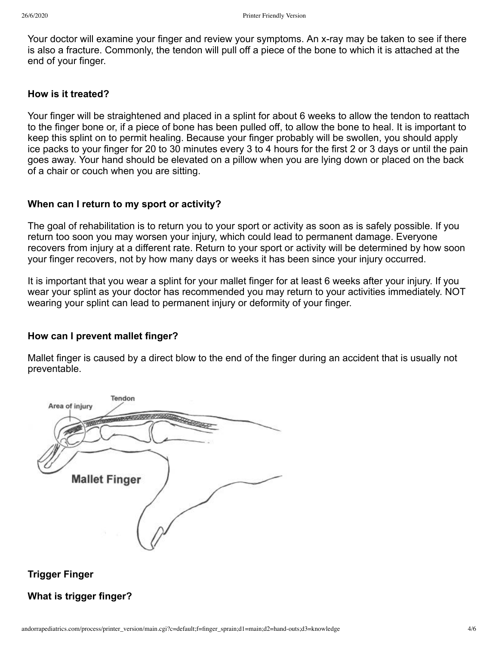Your doctor will examine your finger and review your symptoms. An x-ray may be taken to see if there is also a fracture. Commonly, the tendon will pull off a piece of the bone to which it is attached at the end of your finger.

#### **How is it treated?**

Your finger will be straightened and placed in a splint for about 6 weeks to allow the tendon to reattach to the finger bone or, if a piece of bone has been pulled off, to allow the bone to heal. It is important to keep this splint on to permit healing. Because your finger probably will be swollen, you should apply ice packs to your finger for 20 to 30 minutes every 3 to 4 hours for the first 2 or 3 days or until the pain goes away. Your hand should be elevated on a pillow when you are lying down or placed on the back of a chair or couch when you are sitting.

## **When can I return to my sport or activity?**

The goal of rehabilitation is to return you to your sport or activity as soon as is safely possible. If you return too soon you may worsen your injury, which could lead to permanent damage. Everyone recovers from injury at a different rate. Return to your sport or activity will be determined by how soon your finger recovers, not by how many days or weeks it has been since your injury occurred.

It is important that you wear a splint for your mallet finger for at least 6 weeks after your injury. If you wear your splint as your doctor has recommended you may return to your activities immediately. NOT wearing your splint can lead to permanent injury or deformity of your finger.

#### **How can I prevent mallet finger?**

Mallet finger is caused by a direct blow to the end of the finger during an accident that is usually not preventable.



## **Trigger Finger**

## **What is trigger finger?**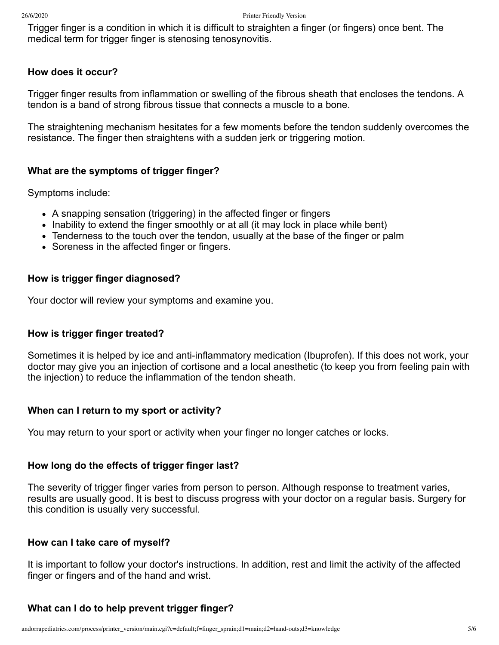Trigger finger is a condition in which it is difficult to straighten a finger (or fingers) once bent. The medical term for trigger finger is stenosing tenosynovitis.

## **How does it occur?**

Trigger finger results from inflammation or swelling of the fibrous sheath that encloses the tendons. A tendon is a band of strong fibrous tissue that connects a muscle to a bone.

The straightening mechanism hesitates for a few moments before the tendon suddenly overcomes the resistance. The finger then straightens with a sudden jerk or triggering motion.

## **What are the symptoms of trigger finger?**

Symptoms include:

- A snapping sensation (triggering) in the affected finger or fingers
- Inability to extend the finger smoothly or at all (it may lock in place while bent)
- Tenderness to the touch over the tendon, usually at the base of the finger or palm
- Soreness in the affected finger or fingers.

## **How is trigger finger diagnosed?**

Your doctor will review your symptoms and examine you.

#### **How is trigger finger treated?**

Sometimes it is helped by ice and anti-inflammatory medication (Ibuprofen). If this does not work, your doctor may give you an injection of cortisone and a local anesthetic (to keep you from feeling pain with the injection) to reduce the inflammation of the tendon sheath.

#### **When can I return to my sport or activity?**

You may return to your sport or activity when your finger no longer catches or locks.

## **How long do the effects of trigger finger last?**

The severity of trigger finger varies from person to person. Although response to treatment varies, results are usually good. It is best to discuss progress with your doctor on a regular basis. Surgery for this condition is usually very successful.

#### **How can I take care of myself?**

It is important to follow your doctor's instructions. In addition, rest and limit the activity of the affected finger or fingers and of the hand and wrist.

## **What can I do to help prevent trigger finger?**